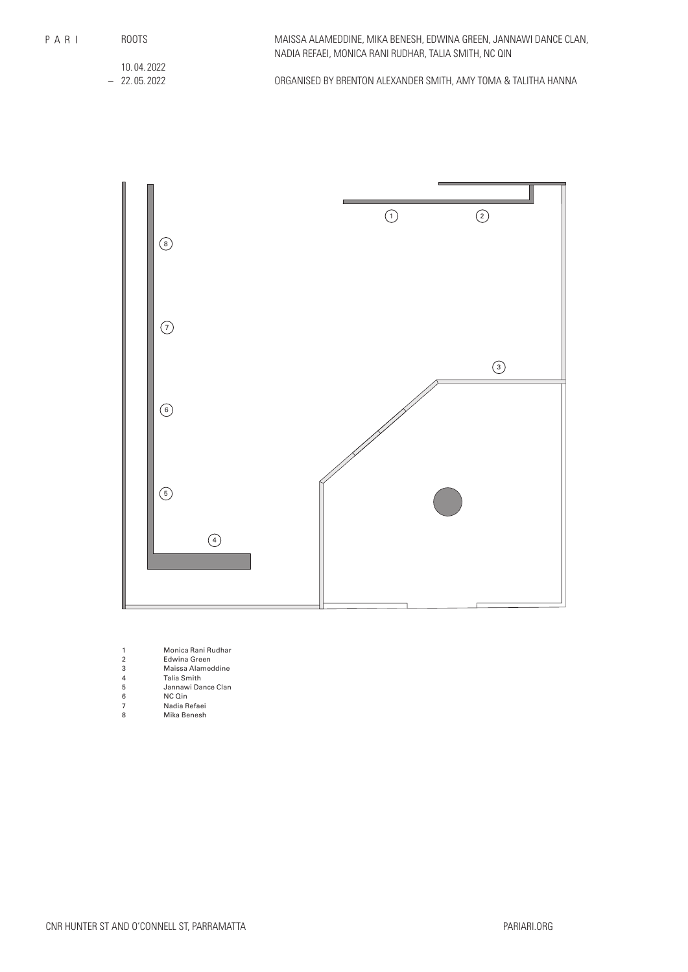ROOTS

MAISSA ALAMEDDINE, MIKA BENESH, EDWINA GREEN, JANNAWI DANCE CLAN, NADIA REFAEI, MONICA RANI RUDHAR, TALIA SMITH, NC QIN

10. 04. 2022 – 22. 05. 2022

ORGANISED BY BRENTON ALEXANDER SMITH, AMY TOMA & TALITHA HANNA



- 1 Monica Rani Rudhar
- 2 Edwina Green
- 3 Maissa Alameddine 4 Talia Smith
- 5 Jannawi Dance Clan<br>6 NC Qin<br>7 Nadia Refaei
- 6 NC Qin
- 7 Nadia Refaei 8 Mika Benesh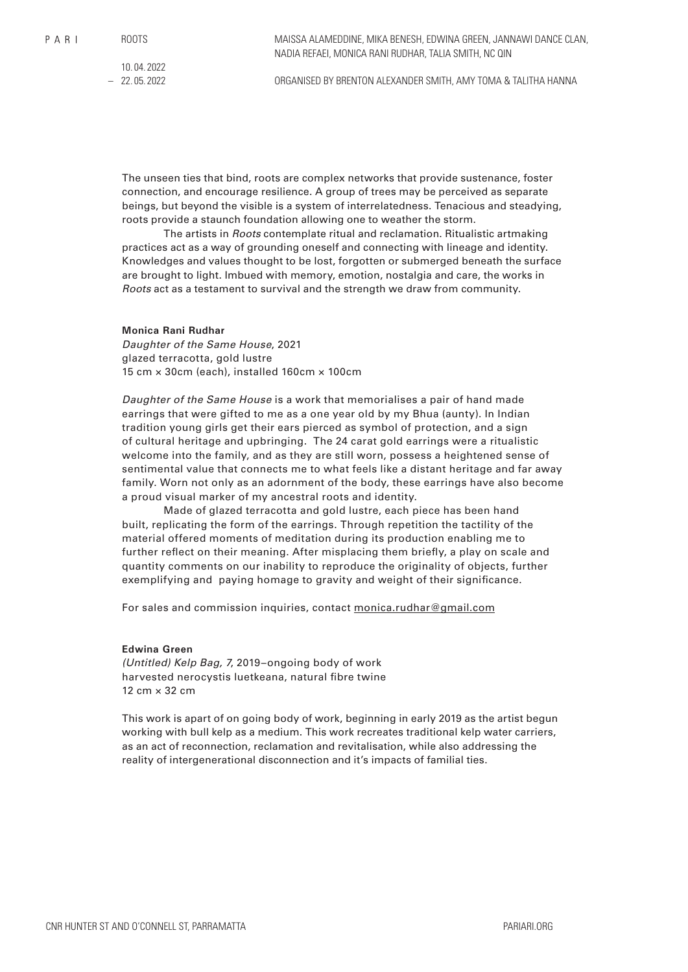10. 04. 2022  $-22.05.2022$ 

ORGANISED BY BRENTON ALEXANDER SMITH, AMY TOMA & TALITHA HANNA

The unseen ties that bind, roots are complex networks that provide sustenance, foster connection, and encourage resilience. A group of trees may be perceived as separate beings, but beyond the visible is a system of interrelatedness. Tenacious and steadying, roots provide a staunch foundation allowing one to weather the storm.

The artists in *Roots* contemplate ritual and reclamation. Ritualistic artmaking practices act as a way of grounding oneself and connecting with lineage and identity. Knowledges and values thought to be lost, forgotten or submerged beneath the surface are brought to light. Imbued with memory, emotion, nostalgia and care, the works in *Roots* act as a testament to survival and the strength we draw from community.

### **Monica Rani Rudhar**

*Daughter of the Same House*, 2021 glazed terracotta, gold lustre 15 cm × 30cm (each), installed 160cm × 100cm

*Daughter of the Same House* is a work that memorialises a pair of hand made earrings that were gifted to me as a one year old by my Bhua (aunty). In Indian tradition young girls get their ears pierced as symbol of protection, and a sign of cultural heritage and upbringing. The 24 carat gold earrings were a ritualistic welcome into the family, and as they are still worn, possess a heightened sense of sentimental value that connects me to what feels like a distant heritage and far away family. Worn not only as an adornment of the body, these earrings have also become a proud visual marker of my ancestral roots and identity.

Made of glazed terracotta and gold lustre, each piece has been hand built, replicating the form of the earrings. Through repetition the tactility of the material offered moments of meditation during its production enabling me to further reflect on their meaning. After misplacing them briefly, a play on scale and quantity comments on our inability to reproduce the originality of objects, further exemplifying and paying homage to gravity and weight of their significance.

For sales and commission inquiries, contact monica.rudhar@gmail.com

# **Edwina Green**

*(Untitled) Kelp Bag, 7*, 2019–ongoing body of work harvested nerocystis luetkeana, natural fibre twine 12 cm × 32 cm

This work is apart of on going body of work, beginning in early 2019 as the artist begun working with bull kelp as a medium. This work recreates traditional kelp water carriers, as an act of reconnection, reclamation and revitalisation, while also addressing the reality of intergenerational disconnection and it's impacts of familial ties.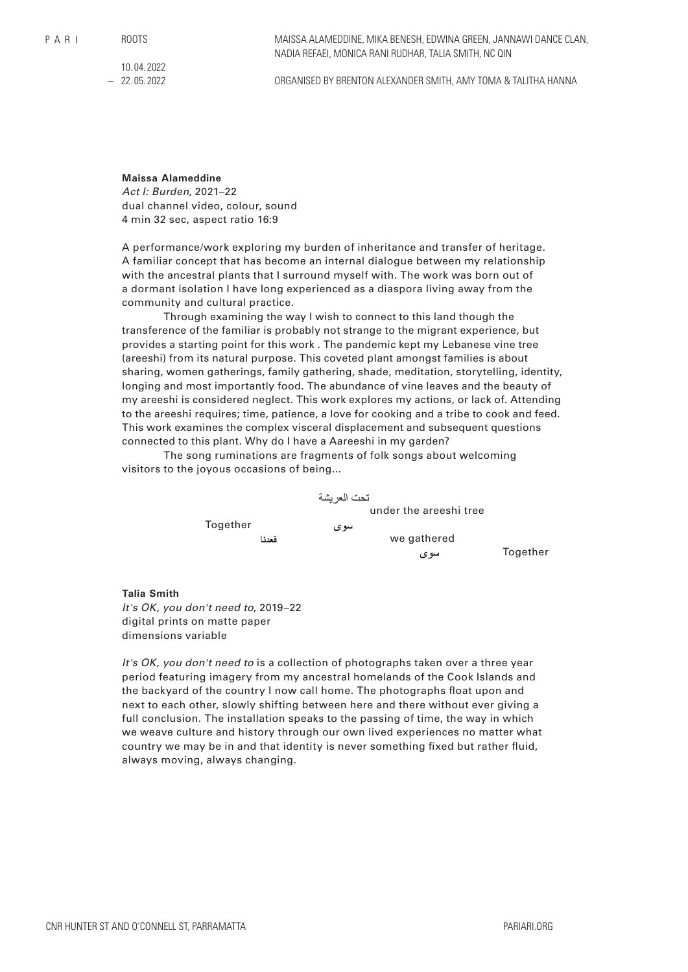$P$  A R I

ROOTS

10. 04. 2022  $-22.05.2022$ 

ORGANISED BY BRENTON ALEXANDER SMITH, AMY TOMA & TALITHA HANNA

**Maissa Alameddine** *Act I: Burden*, 2021–22 dual channel video, colour, sound 4 min 32 sec, aspect ratio 16:9

A performance/work exploring my burden of inheritance and transfer of heritage. A familiar concept that has become an internal dialogue between my relationship with the ancestral plants that I surround myself with. The work was born out of a dormant isolation I have long experienced as a diaspora living away from the community and cultural practice.

Through examining the way I wish to connect to this land though the transference of the familiar is probably not strange to the migrant experience, but provides a starting point for this work . The pandemic kept my Lebanese vine tree (areeshi) from its natural purpose. This coveted plant amongst families is about sharing, women gatherings, family gathering, shade, meditation, storytelling, identity, longing and most importantly food. The abundance of vine leaves and the beauty of my areeshi is considered neglect. This work explores my actions, or lack of. Attending to the areeshi requires; time, patience, a love for cooking and a tribe to cook and feed. This work examines the complex visceral displacement and subsequent questions connected to this plant. Why do I have a Aareeshi in my garden?

The song ruminations are fragments of folk songs about welcoming visitors to the joyous occasions of being...

|          |       | تحت العر يشة |                        |          |
|----------|-------|--------------|------------------------|----------|
|          |       |              | under the areeshi tree |          |
| Together |       | سوي          |                        |          |
|          | قعدنا |              | we gathered            |          |
|          |       |              | سو ی                   | Together |

**Talia Smith** *It's OK, you don't need to*, 2019–22 digital prints on matte paper dimensions variable

*It's OK, you don't need to* is a collection of photographs taken over a three year period featuring imagery from my ancestral homelands of the Cook Islands and the backyard of the country I now call home. The photographs float upon and next to each other, slowly shifting between here and there without ever giving a full conclusion. The installation speaks to the passing of time, the way in which we weave culture and history through our own lived experiences no matter what country we may be in and that identity is never something fixed but rather fluid, always moving, always changing.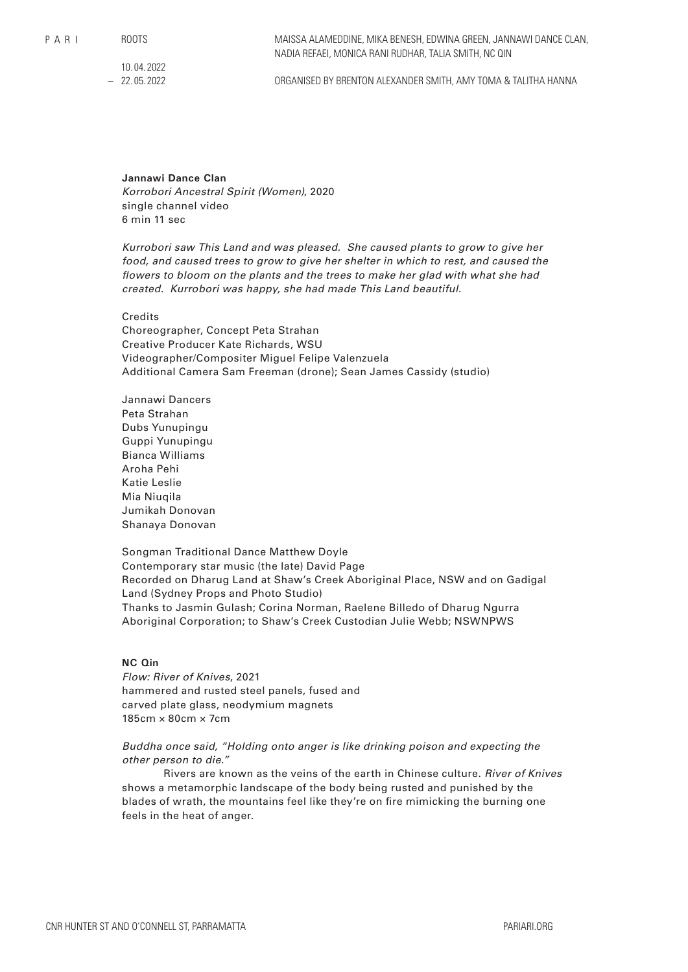ROOTS

MAISSA ALAMEDDINE, MIKA BENESH, EDWINA GREEN, JANNAWI DANCE CLAN, NADIA REFAEI, MONICA RANI RUDHAR, TALIA SMITH, NC QIN

10. 04. 2022 – 22. 05. 2022

ORGANISED BY BRENTON ALEXANDER SMITH, AMY TOMA & TALITHA HANNA

### **Jannawi Dance Clan**

*Korrobori Ancestral Spirit (Women)*, 2020 single channel video 6 min 11 sec

*Kurrobori saw This Land and was pleased. She caused plants to grow to give her food, and caused trees to grow to give her shelter in which to rest, and caused the flowers to bloom on the plants and the trees to make her glad with what she had created. Kurrobori was happy, she had made This Land beautiful.*

### Credits

Choreographer, Concept Peta Strahan Creative Producer Kate Richards, WSU Videographer/Compositer Miguel Felipe Valenzuela Additional Camera Sam Freeman (drone); Sean James Cassidy (studio)

Jannawi Dancers Peta Strahan Dubs Yunupingu Guppi Yunupingu Bianca Williams Aroha Pehi Katie Leslie Mia Niuqila Jumikah Donovan Shanaya Donovan

Songman Traditional Dance Matthew Doyle Contemporary star music (the late) David Page Recorded on Dharug Land at Shaw's Creek Aboriginal Place, NSW and on Gadigal Land (Sydney Props and Photo Studio) Thanks to Jasmin Gulash; Corina Norman, Raelene Billedo of Dharug Ngurra Aboriginal Corporation; to Shaw's Creek Custodian Julie Webb; NSWNPWS

# **NC Qin**

*Flow: River of Knives*, 2021 hammered and rusted steel panels, fused and carved plate glass, neodymium magnets 185cm × 80cm × 7cm

# *Buddha once said, "Holding onto anger is like drinking poison and expecting the other person to die."*

Rivers are known as the veins of the earth in Chinese culture. *River of Knives* shows a metamorphic landscape of the body being rusted and punished by the blades of wrath, the mountains feel like they're on fire mimicking the burning one feels in the heat of anger.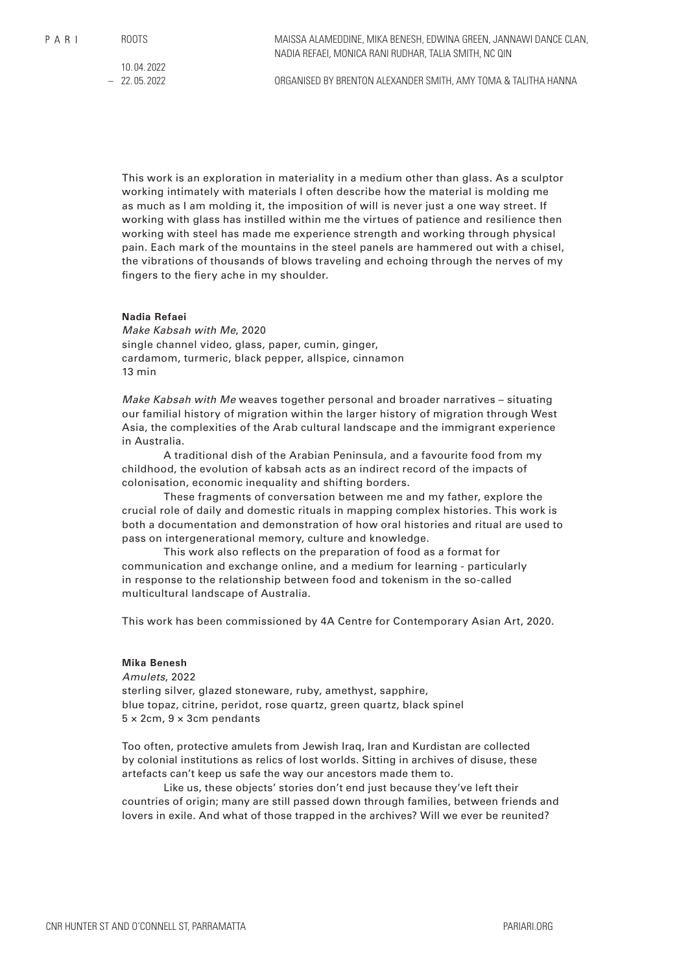10. 04. 2022  $-22.05.2022$ 

ORGANISED BY BRENTON ALEXANDER SMITH, AMY TOMA & TALITHA HANNA

This work is an exploration in materiality in a medium other than glass. As a sculptor working intimately with materials I often describe how the material is molding me as much as I am molding it, the imposition of will is never just a one way street. If working with glass has instilled within me the virtues of patience and resilience then working with steel has made me experience strength and working through physical pain. Each mark of the mountains in the steel panels are hammered out with a chisel, the vibrations of thousands of blows traveling and echoing through the nerves of my fingers to the fiery ache in my shoulder.

#### **Nadia Refaei**

*Make Kabsah with Me*, 2020 single channel video, glass, paper, cumin, ginger, cardamom, turmeric, black pepper, allspice, cinnamon 13 min

*Make Kabsah with Me* weaves together personal and broader narratives – situating our familial history of migration within the larger history of migration through West Asia, the complexities of the Arab cultural landscape and the immigrant experience in Australia.

A traditional dish of the Arabian Peninsula, and a favourite food from my childhood, the evolution of kabsah acts as an indirect record of the impacts of colonisation, economic inequality and shifting borders.

These fragments of conversation between me and my father, explore the crucial role of daily and domestic rituals in mapping complex histories. This work is both a documentation and demonstration of how oral histories and ritual are used to pass on intergenerational memory, culture and knowledge.

This work also reflects on the preparation of food as a format for communication and exchange online, and a medium for learning - particularly in response to the relationship between food and tokenism in the so-called multicultural landscape of Australia.

This work has been commissioned by 4A Centre for Contemporary Asian Art, 2020.

### **Mika Benesh**

*Amulets*, 2022 sterling silver, glazed stoneware, ruby, amethyst, sapphire, blue topaz, citrine, peridot, rose quartz, green quartz, black spinel  $5 \times 2$ cm,  $9 \times 3$ cm pendants

Too often, protective amulets from Jewish Iraq, Iran and Kurdistan are collected by colonial institutions as relics of lost worlds. Sitting in archives of disuse, these artefacts can't keep us safe the way our ancestors made them to.

Like us, these objects' stories don't end just because they've left their countries of origin; many are still passed down through families, between friends and lovers in exile. And what of those trapped in the archives? Will we ever be reunited?